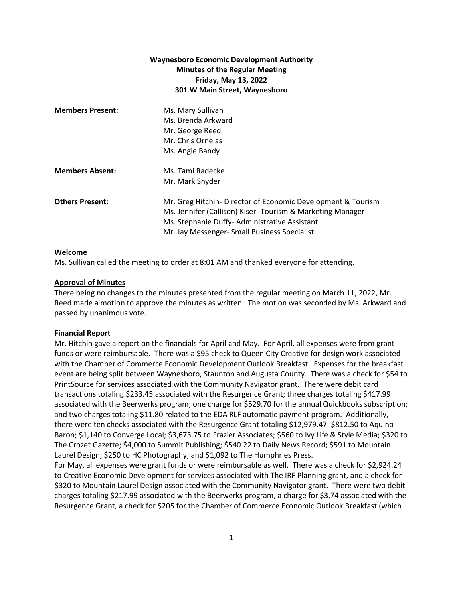# **Waynesboro Economic Development Authority Minutes of the Regular Meeting Friday, May 13, 2022 301 W Main Street, Waynesboro**

| <b>Members Present:</b> | Ms. Mary Sullivan<br>Ms. Brenda Arkward<br>Mr. George Reed<br>Mr. Chris Ornelas<br>Ms. Angie Bandy                                                                                                                        |
|-------------------------|---------------------------------------------------------------------------------------------------------------------------------------------------------------------------------------------------------------------------|
| <b>Members Absent:</b>  | Ms. Tami Radecke<br>Mr. Mark Snyder                                                                                                                                                                                       |
| <b>Others Present:</b>  | Mr. Greg Hitchin- Director of Economic Development & Tourism<br>Ms. Jennifer (Callison) Kiser-Tourism & Marketing Manager<br>Ms. Stephanie Duffy-Administrative Assistant<br>Mr. Jay Messenger- Small Business Specialist |

## **Welcome**

Ms. Sullivan called the meeting to order at 8:01 AM and thanked everyone for attending.

## **Approval of Minutes**

There being no changes to the minutes presented from the regular meeting on March 11, 2022, Mr. Reed made a motion to approve the minutes as written. The motion was seconded by Ms. Arkward and passed by unanimous vote.

#### **Financial Report**

Mr. Hitchin gave a report on the financials for April and May. For April, all expenses were from grant funds or were reimbursable. There was a \$95 check to Queen City Creative for design work associated with the Chamber of Commerce Economic Development Outlook Breakfast. Expenses for the breakfast event are being split between Waynesboro, Staunton and Augusta County. There was a check for \$54 to PrintSource for services associated with the Community Navigator grant. There were debit card transactions totaling \$233.45 associated with the Resurgence Grant; three charges totaling \$417.99 associated with the Beerwerks program; one charge for \$529.70 for the annual Quickbooks subscription; and two charges totaling \$11.80 related to the EDA RLF automatic payment program. Additionally, there were ten checks associated with the Resurgence Grant totaling \$12,979.47: \$812.50 to Aquino Baron; \$1,140 to Converge Local; \$3,673.75 to Frazier Associates; \$560 to Ivy Life & Style Media; \$320 to The Crozet Gazette; \$4,000 to Summit Publishing; \$540.22 to Daily News Record; \$591 to Mountain Laurel Design; \$250 to HC Photography; and \$1,092 to The Humphries Press.

For May, all expenses were grant funds or were reimbursable as well. There was a check for \$2,924.24 to Creative Economic Development for services associated with The IRF Planning grant, and a check for \$320 to Mountain Laurel Design associated with the Community Navigator grant. There were two debit charges totaling \$217.99 associated with the Beerwerks program, a charge for \$3.74 associated with the Resurgence Grant, a check for \$205 for the Chamber of Commerce Economic Outlook Breakfast (which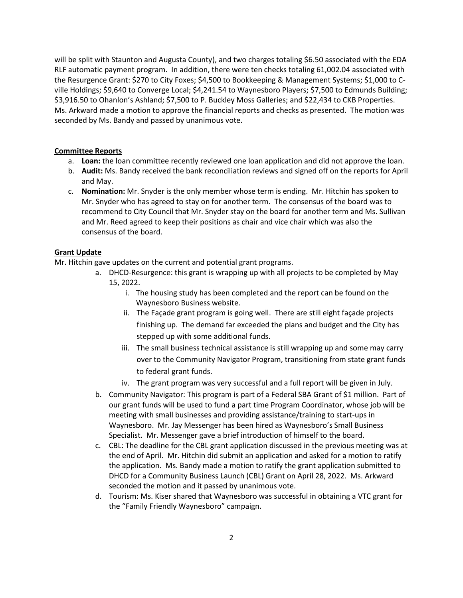will be split with Staunton and Augusta County), and two charges totaling \$6.50 associated with the EDA RLF automatic payment program. In addition, there were ten checks totaling 61,002.04 associated with the Resurgence Grant: \$270 to City Foxes; \$4,500 to Bookkeeping & Management Systems; \$1,000 to Cville Holdings; \$9,640 to Converge Local; \$4,241.54 to Waynesboro Players; \$7,500 to Edmunds Building; \$3,916.50 to Ohanlon's Ashland; \$7,500 to P. Buckley Moss Galleries; and \$22,434 to CKB Properties. Ms. Arkward made a motion to approve the financial reports and checks as presented. The motion was seconded by Ms. Bandy and passed by unanimous vote.

#### **Committee Reports**

- a. **Loan:** the loan committee recently reviewed one loan application and did not approve the loan.
- b. **Audit:** Ms. Bandy received the bank reconciliation reviews and signed off on the reports for April and May.
- c. **Nomination:** Mr. Snyder is the only member whose term is ending. Mr. Hitchin has spoken to Mr. Snyder who has agreed to stay on for another term. The consensus of the board was to recommend to City Council that Mr. Snyder stay on the board for another term and Ms. Sullivan and Mr. Reed agreed to keep their positions as chair and vice chair which was also the consensus of the board.

## **Grant Update**

Mr. Hitchin gave updates on the current and potential grant programs.

- a. DHCD-Resurgence: this grant is wrapping up with all projects to be completed by May 15, 2022.
	- i. The housing study has been completed and the report can be found on the Waynesboro Business website.
	- ii. The Façade grant program is going well. There are still eight façade projects finishing up. The demand far exceeded the plans and budget and the City has stepped up with some additional funds.
	- iii. The small business technical assistance is still wrapping up and some may carry over to the Community Navigator Program, transitioning from state grant funds to federal grant funds.
	- iv. The grant program was very successful and a full report will be given in July.
- b. Community Navigator: This program is part of a Federal SBA Grant of \$1 million. Part of our grant funds will be used to fund a part time Program Coordinator, whose job will be meeting with small businesses and providing assistance/training to start-ups in Waynesboro. Mr. Jay Messenger has been hired as Waynesboro's Small Business Specialist. Mr. Messenger gave a brief introduction of himself to the board.
- c. CBL: The deadline for the CBL grant application discussed in the previous meeting was at the end of April. Mr. Hitchin did submit an application and asked for a motion to ratify the application. Ms. Bandy made a motion to ratify the grant application submitted to DHCD for a Community Business Launch (CBL) Grant on April 28, 2022. Ms. Arkward seconded the motion and it passed by unanimous vote.
- d. Tourism: Ms. Kiser shared that Waynesboro was successful in obtaining a VTC grant for the "Family Friendly Waynesboro" campaign.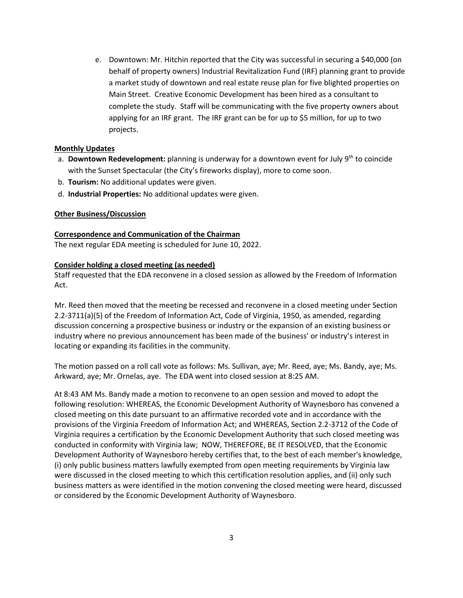e. Downtown: Mr. Hitchin reported that the City was successful in securing a \$40,000 (on behalf of property owners) Industrial Revitalization Fund (IRF) planning grant to provide a market study of downtown and real estate reuse plan for five blighted properties on Main Street. Creative Economic Development has been hired as a consultant to complete the study. Staff will be communicating with the five property owners about applying for an IRF grant. The IRF grant can be for up to \$5 million, for up to two projects.

# **Monthly Updates**

- a. **Downtown Redevelopment:** planning is underway for a downtown event for July 9th to coincide with the Sunset Spectacular (the City's fireworks display), more to come soon.
- b. **Tourism:** No additional updates were given.
- d. **Industrial Properties:** No additional updates were given.

## **Other Business/Discussion**

## **Correspondence and Communication of the Chairman**

The next regular EDA meeting is scheduled for June 10, 2022.

## **Consider holding a closed meeting (as needed)**

Staff requested that the EDA reconvene in a closed session as allowed by the Freedom of Information Act.

Mr. Reed then moved that the meeting be recessed and reconvene in a closed meeting under Section 2.2-3711(a)(5) of the Freedom of Information Act, Code of Virginia, 1950, as amended, regarding discussion concerning a prospective business or industry or the expansion of an existing business or industry where no previous announcement has been made of the business' or industry's interest in locating or expanding its facilities in the community.

The motion passed on a roll call vote as follows: Ms. Sullivan, aye; Mr. Reed, aye; Ms. Bandy, aye; Ms. Arkward, aye; Mr. Ornelas, aye. The EDA went into closed session at 8:25 AM.

At 8:43 AM Ms. Bandy made a motion to reconvene to an open session and moved to adopt the following resolution: WHEREAS, the Economic Development Authority of Waynesboro has convened a closed meeting on this date pursuant to an affirmative recorded vote and in accordance with the provisions of the Virginia Freedom of Information Act; and WHEREAS, Section 2.2-3712 of the Code of Virginia requires a certification by the Economic Development Authority that such closed meeting was conducted in conformity with Virginia law; NOW, THEREFORE, BE IT RESOLVED, that the Economic Development Authority of Waynesboro hereby certifies that, to the best of each member's knowledge, (i) only public business matters lawfully exempted from open meeting requirements by Virginia law were discussed in the closed meeting to which this certification resolution applies, and (ii) only such business matters as were identified in the motion convening the closed meeting were heard, discussed or considered by the Economic Development Authority of Waynesboro.